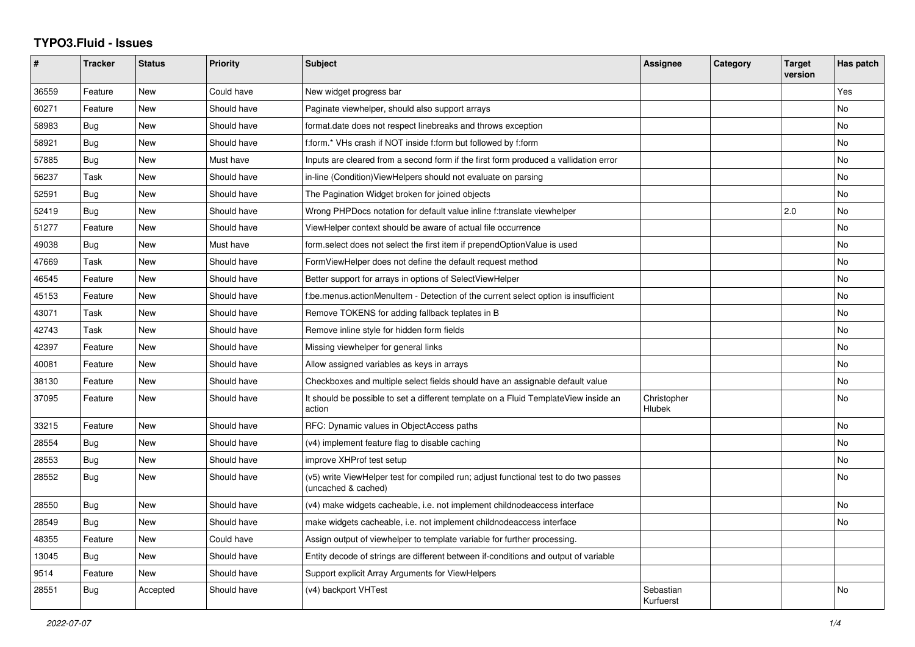## **TYPO3.Fluid - Issues**

| #     | <b>Tracker</b> | <b>Status</b> | <b>Priority</b> | <b>Subject</b>                                                                                              | <b>Assignee</b>        | Category | <b>Target</b><br>version | Has patch |
|-------|----------------|---------------|-----------------|-------------------------------------------------------------------------------------------------------------|------------------------|----------|--------------------------|-----------|
| 36559 | Feature        | <b>New</b>    | Could have      | New widget progress bar                                                                                     |                        |          |                          | Yes       |
| 60271 | Feature        | <b>New</b>    | Should have     | Paginate viewhelper, should also support arrays                                                             |                        |          |                          | No        |
| 58983 | Bug            | <b>New</b>    | Should have     | format.date does not respect linebreaks and throws exception                                                |                        |          |                          | No        |
| 58921 | Bug            | <b>New</b>    | Should have     | f:form.* VHs crash if NOT inside f:form but followed by f:form                                              |                        |          |                          | No        |
| 57885 | Bug            | <b>New</b>    | Must have       | Inputs are cleared from a second form if the first form produced a vallidation error                        |                        |          |                          | No        |
| 56237 | Task           | <b>New</b>    | Should have     | in-line (Condition) View Helpers should not evaluate on parsing                                             |                        |          |                          | No        |
| 52591 | Bug            | New           | Should have     | The Pagination Widget broken for joined objects                                                             |                        |          |                          | No        |
| 52419 | Bug            | New           | Should have     | Wrong PHPDocs notation for default value inline f:translate viewhelper                                      |                        |          | 2.0                      | No        |
| 51277 | Feature        | <b>New</b>    | Should have     | ViewHelper context should be aware of actual file occurrence                                                |                        |          |                          | No        |
| 49038 | Bug            | <b>New</b>    | Must have       | form.select does not select the first item if prependOptionValue is used                                    |                        |          |                          | <b>No</b> |
| 47669 | Task           | New           | Should have     | FormViewHelper does not define the default request method                                                   |                        |          |                          | No        |
| 46545 | Feature        | <b>New</b>    | Should have     | Better support for arrays in options of SelectViewHelper                                                    |                        |          |                          | No        |
| 45153 | Feature        | <b>New</b>    | Should have     | f:be.menus.actionMenuItem - Detection of the current select option is insufficient                          |                        |          |                          | <b>No</b> |
| 43071 | Task           | <b>New</b>    | Should have     | Remove TOKENS for adding fallback teplates in B                                                             |                        |          |                          | No        |
| 42743 | Task           | New           | Should have     | Remove inline style for hidden form fields                                                                  |                        |          |                          | No        |
| 42397 | Feature        | <b>New</b>    | Should have     | Missing viewhelper for general links                                                                        |                        |          |                          | <b>No</b> |
| 40081 | Feature        | <b>New</b>    | Should have     | Allow assigned variables as keys in arrays                                                                  |                        |          |                          | <b>No</b> |
| 38130 | Feature        | New           | Should have     | Checkboxes and multiple select fields should have an assignable default value                               |                        |          |                          | No        |
| 37095 | Feature        | New           | Should have     | It should be possible to set a different template on a Fluid TemplateView inside an<br>action               | Christopher<br>Hlubek  |          |                          | No        |
| 33215 | Feature        | <b>New</b>    | Should have     | RFC: Dynamic values in ObjectAccess paths                                                                   |                        |          |                          | <b>No</b> |
| 28554 | Bug            | <b>New</b>    | Should have     | (v4) implement feature flag to disable caching                                                              |                        |          |                          | <b>No</b> |
| 28553 | Bug            | <b>New</b>    | Should have     | improve XHProf test setup                                                                                   |                        |          |                          | No        |
| 28552 | Bug            | New           | Should have     | (v5) write ViewHelper test for compiled run; adjust functional test to do two passes<br>(uncached & cached) |                        |          |                          | No        |
| 28550 | Bug            | <b>New</b>    | Should have     | (v4) make widgets cacheable, i.e. not implement childnodeaccess interface                                   |                        |          |                          | <b>No</b> |
| 28549 | Bug            | New           | Should have     | make widgets cacheable, i.e. not implement childnodeaccess interface                                        |                        |          |                          | No        |
| 48355 | Feature        | New           | Could have      | Assign output of viewhelper to template variable for further processing.                                    |                        |          |                          |           |
| 13045 | Bug            | <b>New</b>    | Should have     | Entity decode of strings are different between if-conditions and output of variable                         |                        |          |                          |           |
| 9514  | Feature        | <b>New</b>    | Should have     | Support explicit Array Arguments for ViewHelpers                                                            |                        |          |                          |           |
| 28551 | Bug            | Accepted      | Should have     | (v4) backport VHTest                                                                                        | Sebastian<br>Kurfuerst |          |                          | <b>No</b> |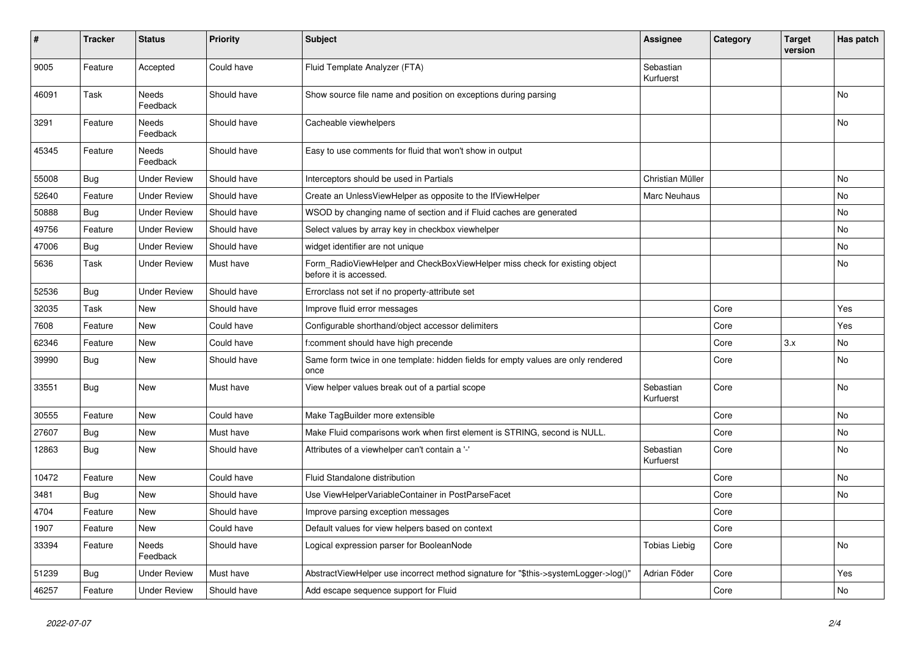| #     | <b>Tracker</b> | <b>Status</b>            | <b>Priority</b> | <b>Subject</b>                                                                                       | Assignee               | Category | Target<br>version | Has patch |
|-------|----------------|--------------------------|-----------------|------------------------------------------------------------------------------------------------------|------------------------|----------|-------------------|-----------|
| 9005  | Feature        | Accepted                 | Could have      | Fluid Template Analyzer (FTA)                                                                        | Sebastian<br>Kurfuerst |          |                   |           |
| 46091 | Task           | <b>Needs</b><br>Feedback | Should have     | Show source file name and position on exceptions during parsing                                      |                        |          |                   | No        |
| 3291  | Feature        | Needs<br>Feedback        | Should have     | Cacheable viewhelpers                                                                                |                        |          |                   | No        |
| 45345 | Feature        | <b>Needs</b><br>Feedback | Should have     | Easy to use comments for fluid that won't show in output                                             |                        |          |                   |           |
| 55008 | Bug            | <b>Under Review</b>      | Should have     | Interceptors should be used in Partials                                                              | Christian Müller       |          |                   | No        |
| 52640 | Feature        | <b>Under Review</b>      | Should have     | Create an UnlessViewHelper as opposite to the IfViewHelper                                           | <b>Marc Neuhaus</b>    |          |                   | No        |
| 50888 | Bug            | <b>Under Review</b>      | Should have     | WSOD by changing name of section and if Fluid caches are generated                                   |                        |          |                   | No        |
| 49756 | Feature        | <b>Under Review</b>      | Should have     | Select values by array key in checkbox viewhelper                                                    |                        |          |                   | No        |
| 47006 | <b>Bug</b>     | <b>Under Review</b>      | Should have     | widget identifier are not unique                                                                     |                        |          |                   | No        |
| 5636  | Task           | <b>Under Review</b>      | Must have       | Form RadioViewHelper and CheckBoxViewHelper miss check for existing object<br>before it is accessed. |                        |          |                   | No        |
| 52536 | Bug            | <b>Under Review</b>      | Should have     | Errorclass not set if no property-attribute set                                                      |                        |          |                   |           |
| 32035 | Task           | New                      | Should have     | Improve fluid error messages                                                                         |                        | Core     |                   | Yes       |
| 7608  | Feature        | New                      | Could have      | Configurable shorthand/object accessor delimiters                                                    |                        | Core     |                   | Yes       |
| 62346 | Feature        | New                      | Could have      | f:comment should have high precende                                                                  |                        | Core     | 3.x               | No        |
| 39990 | Bug            | New                      | Should have     | Same form twice in one template: hidden fields for empty values are only rendered<br>once            |                        | Core     |                   | No        |
| 33551 | Bug            | <b>New</b>               | Must have       | View helper values break out of a partial scope                                                      | Sebastian<br>Kurfuerst | Core     |                   | No        |
| 30555 | Feature        | New                      | Could have      | Make TagBuilder more extensible                                                                      |                        | Core     |                   | No        |
| 27607 | Bug            | New                      | Must have       | Make Fluid comparisons work when first element is STRING, second is NULL.                            |                        | Core     |                   | No        |
| 12863 | Bug            | New                      | Should have     | Attributes of a viewhelper can't contain a '-'                                                       | Sebastian<br>Kurfuerst | Core     |                   | No        |
| 10472 | Feature        | New                      | Could have      | <b>Fluid Standalone distribution</b>                                                                 |                        | Core     |                   | No        |
| 3481  | Bug            | New                      | Should have     | Use ViewHelperVariableContainer in PostParseFacet                                                    |                        | Core     |                   | No        |
| 4704  | Feature        | New                      | Should have     | Improve parsing exception messages                                                                   |                        | Core     |                   |           |
| 1907  | Feature        | New                      | Could have      | Default values for view helpers based on context                                                     |                        | Core     |                   |           |
| 33394 | Feature        | Needs<br>Feedback        | Should have     | Logical expression parser for BooleanNode                                                            | Tobias Liebig          | Core     |                   | No        |
| 51239 | Bug            | <b>Under Review</b>      | Must have       | AbstractViewHelper use incorrect method signature for "\$this->systemLogger->log()"                  | Adrian Föder           | Core     |                   | Yes       |
| 46257 | Feature        | <b>Under Review</b>      | Should have     | Add escape sequence support for Fluid                                                                |                        | Core     |                   | No        |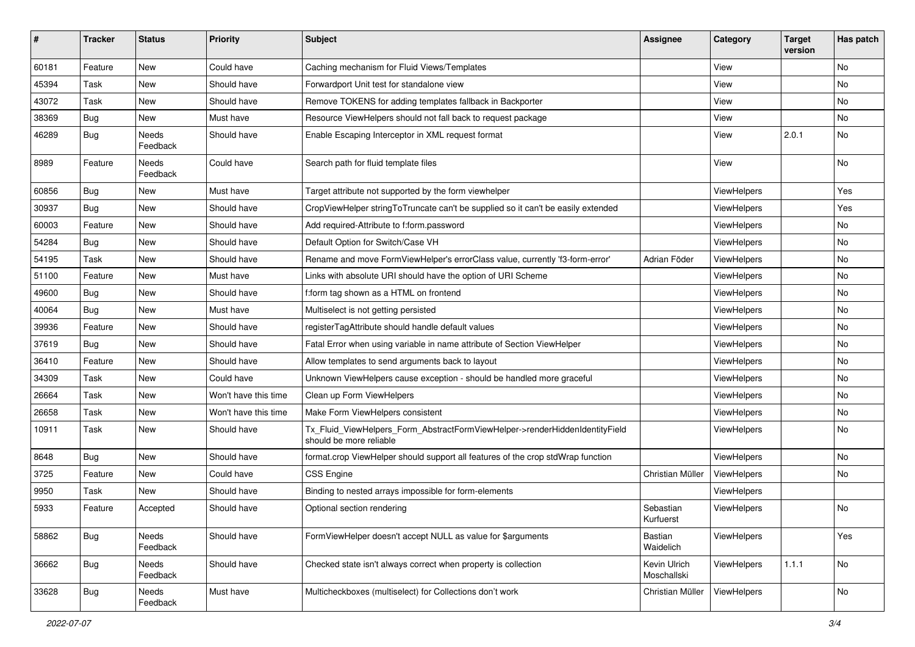| #     | <b>Tracker</b> | <b>Status</b>     | Priority             | Subject                                                                                                | <b>Assignee</b>             | Category           | <b>Target</b><br>version | Has patch |
|-------|----------------|-------------------|----------------------|--------------------------------------------------------------------------------------------------------|-----------------------------|--------------------|--------------------------|-----------|
| 60181 | Feature        | New               | Could have           | Caching mechanism for Fluid Views/Templates                                                            |                             | View               |                          | <b>No</b> |
| 45394 | Task           | New               | Should have          | Forwardport Unit test for standalone view                                                              |                             | View               |                          | No        |
| 43072 | Task           | New               | Should have          | Remove TOKENS for adding templates fallback in Backporter                                              |                             | View               |                          | No        |
| 38369 | Bug            | New               | Must have            | Resource ViewHelpers should not fall back to request package                                           |                             | View               |                          | No        |
| 46289 | <b>Bug</b>     | Needs<br>Feedback | Should have          | Enable Escaping Interceptor in XML request format                                                      |                             | View               | 2.0.1                    | No        |
| 8989  | Feature        | Needs<br>Feedback | Could have           | Search path for fluid template files                                                                   |                             | View               |                          | No        |
| 60856 | <b>Bug</b>     | New               | Must have            | Target attribute not supported by the form viewhelper                                                  |                             | ViewHelpers        |                          | Yes       |
| 30937 | Bug            | New               | Should have          | CropViewHelper stringToTruncate can't be supplied so it can't be easily extended                       |                             | ViewHelpers        |                          | Yes       |
| 60003 | Feature        | New               | Should have          | Add required-Attribute to f:form.password                                                              |                             | ViewHelpers        |                          | No        |
| 54284 | <b>Bug</b>     | New               | Should have          | Default Option for Switch/Case VH                                                                      |                             | ViewHelpers        |                          | No        |
| 54195 | Task           | New               | Should have          | Rename and move FormViewHelper's errorClass value, currently 'f3-form-error'                           | Adrian Föder                | <b>ViewHelpers</b> |                          | No        |
| 51100 | Feature        | <b>New</b>        | Must have            | Links with absolute URI should have the option of URI Scheme                                           |                             | <b>ViewHelpers</b> |                          | <b>No</b> |
| 49600 | Bug            | New               | Should have          | f:form tag shown as a HTML on frontend                                                                 |                             | ViewHelpers        |                          | No        |
| 40064 | Bug            | New               | Must have            | Multiselect is not getting persisted                                                                   |                             | ViewHelpers        |                          | No        |
| 39936 | Feature        | New               | Should have          | registerTagAttribute should handle default values                                                      |                             | ViewHelpers        |                          | <b>No</b> |
| 37619 | Bug            | New               | Should have          | Fatal Error when using variable in name attribute of Section ViewHelper                                |                             | <b>ViewHelpers</b> |                          | No        |
| 36410 | Feature        | New               | Should have          | Allow templates to send arguments back to layout                                                       |                             | ViewHelpers        |                          | <b>No</b> |
| 34309 | Task           | New               | Could have           | Unknown ViewHelpers cause exception - should be handled more graceful                                  |                             | ViewHelpers        |                          | No        |
| 26664 | Task           | New               | Won't have this time | Clean up Form ViewHelpers                                                                              |                             | ViewHelpers        |                          | No        |
| 26658 | Task           | New               | Won't have this time | Make Form ViewHelpers consistent                                                                       |                             | ViewHelpers        |                          | No        |
| 10911 | Task           | New               | Should have          | Tx_Fluid_ViewHelpers_Form_AbstractFormViewHelper->renderHiddenIdentityField<br>should be more reliable |                             | ViewHelpers        |                          | No        |
| 8648  | Bug            | New               | Should have          | format.crop ViewHelper should support all features of the crop stdWrap function                        |                             | ViewHelpers        |                          | No        |
| 3725  | Feature        | New               | Could have           | CSS Engine                                                                                             | Christian Müller            | ViewHelpers        |                          | No        |
| 9950  | Task           | <b>New</b>        | Should have          | Binding to nested arrays impossible for form-elements                                                  |                             | ViewHelpers        |                          |           |
| 5933  | Feature        | Accepted          | Should have          | Optional section rendering                                                                             | Sebastian<br>Kurfuerst      | ViewHelpers        |                          | No        |
| 58862 | <b>Bug</b>     | Needs<br>Feedback | Should have          | FormViewHelper doesn't accept NULL as value for \$arguments                                            | Bastian<br>Waidelich        | ViewHelpers        |                          | Yes       |
| 36662 | Bug            | Needs<br>Feedback | Should have          | Checked state isn't always correct when property is collection                                         | Kevin Ulrich<br>Moschallski | ViewHelpers        | 1.1.1                    | No        |
| 33628 | <b>Bug</b>     | Needs<br>Feedback | Must have            | Multicheckboxes (multiselect) for Collections don't work                                               | Christian Müller            | ViewHelpers        |                          | No        |